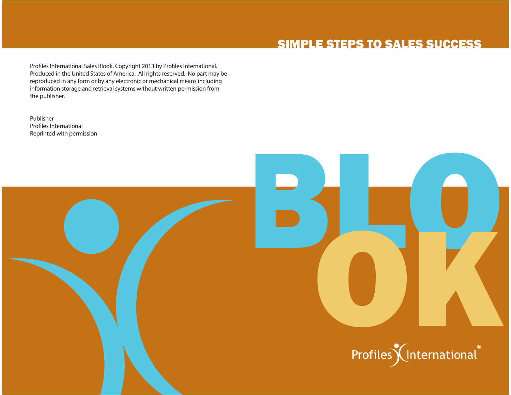### SIMPLE STEPS TO SALES SUCCESS

Profiles International Sales Blook. Copyright 2013 by Profiles International. Produced in the United States of America. All rights reserved. No part may be reproduced in any form or by any electronic or mechanical means including information storage and retrieval systems without written permission from the publisher.

PublisherProfiles International Reprinted with permission



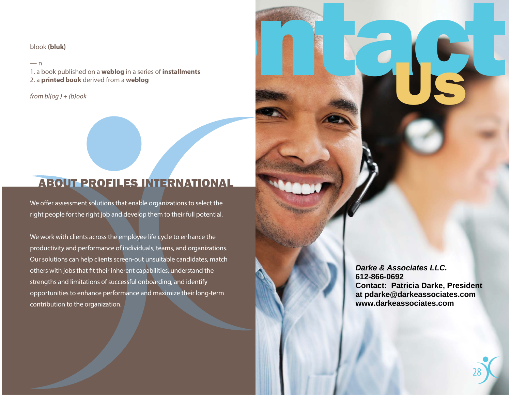blook **(bluk)** 

— n<br>1. a book published on a **weblog** in a series of **installments**<br>2. a **printed book** derived from a **weblog** 

 $from bl(og) + (b)ook$ 

### ABOUT PROFILES INTERNATIONAL

We offer assessment solutions that enable organizations to select the right people for the right job and develop them to their full potential.

We work with clients across the employee life cycle to enhance the productivity and performance of individuals, teams, and organizations. Our solutions can help clients screen-out unsuitable candidates, match others with jobs that fit their inherent capabilities, understand the strengths and limitations of successful onboarding, and identify opportunities to enhance performance and maximize their long-term contribution to the organization.

**Darke & Associates LLC.612-866-0692 Contact: Patricia Darke, Presidentat pdarke@darkeassociates.comwww.darkeassociates.com**

ontact Us

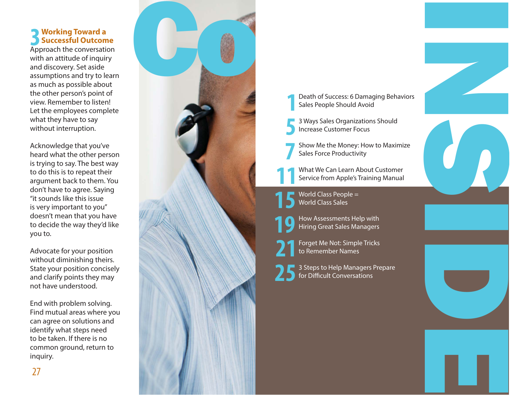### **working Toward a Successful Outcome uccessful Outcome3**

Approach the conversation with an attitude of inquiry and discovery. Set aside assumptions and try to learn as much as possible about the other person's point of view. Remember to listen! Let the employees complete what they have to say without interruption.

Acknowledge that you've heard what the other person is trying to say. The best way to do this is to repeat their argument back to them. You don't have to agree. Saying "it sounds like this issue is very important to you" doesn't mean that you have to decide the way they'd like you to.

Advocate for your position without diminishing theirs. State your position concisely and clarify points they may not have understood.

End with problem solving. Find mutual areas where you can agree on solutions and identify what steps need to be taken. If there is no common ground, return to inquiry.



- **5**
- **7**
- 

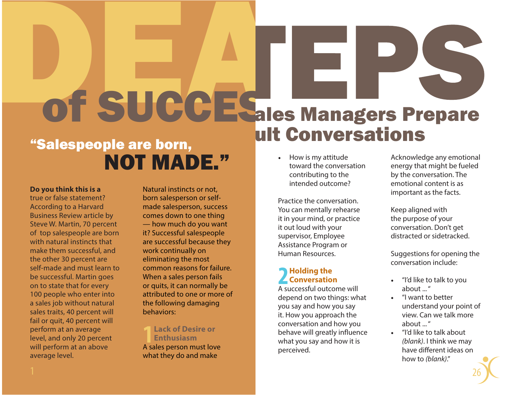# "Salespeople are born, **DESCRIPTIONS** ult Conversations

# NOT MADE."

### **Do you think this is a**

true or false statement? According to a Harvard Business Review article by Steve W. Martin, 70 percent of top salespeople are born with natural instincts that make them successful, and the other 30 percent are self-made and must learn to be successful. Martin goes on to state that for every 100 people who enter into a sales job without natural sales traits, 40 percent will fail or quit, 40 percent will perform at an average level, and only 20 percent will perform at an above average level.

1

Natural instincts or not, born salesperson or selfmade salesperson, success comes down to one thing — how much do you want it? Successful salespeople are successful because they work continually on eliminating the most common reasons for failure. When a sales person fails or quits, it can normally be attributed to one or more of the following damaging behaviors:

### **Lack of Desire or Enthusiasm**A sales person must love **1**

what they do and make

• How is my attitude toward the conversation contributing to the intended outcome?

Practice the conversation.You can mentally rehearse it in your mind, or practice it out loud with your supervisor, Employee Assistance Program or Human Resources.

### **Holding the Conversation o nversation2**

A successful outcome will depend on two things: what you say and how you say it. How you approach the conversation and how you behave will greatly influence what you say and how it is perceived.

Acknowledge any emotional energy that might be fueled by the conversation. The emotional content is as important as the facts.

Keep aligned with the purpose of your conversation. Don't get distracted or sidetracked.

Suggestions for opening the conversation include:

- "I'd like to talk to you about ... "
- "I want to better understand your point of view. Can we talk more about ... "
- "I'd like to talk about *(blank)*. I think we may have different ideas on how to *(blank)*."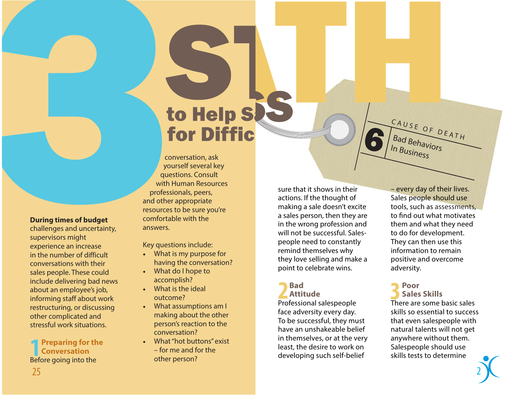# **CONTROL**<br>to Help S for DifficSTRAUSE OF DEATH

conversation, ask yourself several key questions. Consult with Human Resources professionals, peers, and other appropriate resources to be sure you're comfortable with the answers.

Key questions include:

- What is my purpose for having the conversation?
- What do I hope to accomplish?
- What is the ideal outcome?
- What assumptions am I making about the other person's reaction to the conversation?
- What "hot buttons" exist – for me and for the other person?

sure that it shows in their actions. If the thought of making a sale doesn't excite a sales person, then they are in the wrong profession and will not be successful. Salespeople need to constantly remind themselves why they love selling and make a point to celebrate wins.

### **Bad Attitude2**

Professional salespeople face adversity every day. To be successful, they must have an unshakeable belief in themselves, or at the very least, the desire to work on developing such self-belief

– every day of their lives. Sales people should use tools, such as assessments, to find out what motivates them and what they need to do for development. They can then use this information to remain positive and overcome adversity.

CAUSE OF DEATH

In Business

6

### **PoorSales Skills3**

There are some basic sales skills so essential to success that even salespeople with natural talents will not get anywhere without them. Salespeople should use skills tests to determine

### **During times of budget**

challenges and uncertainty, supervisors might experience an increase in the number of difficult conversations with their sales people. These could include delivering bad news about an employee's job, informing staff about work restructuring, or discussing other complicated and stressful work situations.

**Preparing for the re p aring th e Conversation o nversation**Before going into the **1**25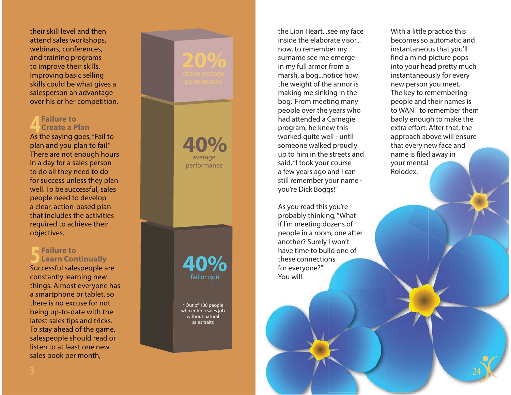their skill level and then attend sales workshops, webinars, conferences, and training programs to improve their skills. Improving basic selling skills could be what gives a salesperson an advantage over his or her competition.

### **Failure toCreate a Plan4**

As the saying goes, "Fail to plan and you plan to fail." There are not enough hours in a day for a sales person to do all they need to do for success unless they plan well. To be successful, sales people need to develop a clear, action-based plan that includes the activities required to achieve their objectives.

#### **Failure toLearn Continually 5**

Successful salespeople are constantly learning new things. Almost everyone has a smartphone or tablet, so there is no excuse for not being up-to-date with the latest sales tips and tricks. To stay ahead of the game, salespeople should read or listen to at least one new sales book per month,

average performance **40%**

**40%**fail or quit

\* Out of 100 people who enter a sales job without natural sales traits

the Lion Heart...see my face inside the elaborate visor...now, to remember my surname see me emerge in my full armor from a marsh, a bog...notice how the weight of the armor is making me sinking in the bog." From meeting many people over the years who had attended a Carnegie program, he knew this worked quite well - until someone walked proudly up to him in the streets and said, "I took your course a few years ago and I can still remember your name you're Dick Boggs!" e streets and<br>
ur course your mental<br>
b and I can<br>
your name -<br>
you're<br>
s you're

As you read this you're probably thinking, "What probably thinking, "What<br>if I'm meeting dozens of people in a room, one after another? Surely I won't won't have time to build one of these connections for everyone?" You will. i

With a little practice this becomes so automatic and instantaneous that you'll find a mind-picture pops into your head pretty much instantaneously for every new person you meet. The key to remembering people and their names is to WANT to remember them badly enough to make the extra effort. After that, the approach above will ensure that every new face and name is filed away in your mental Rolodex.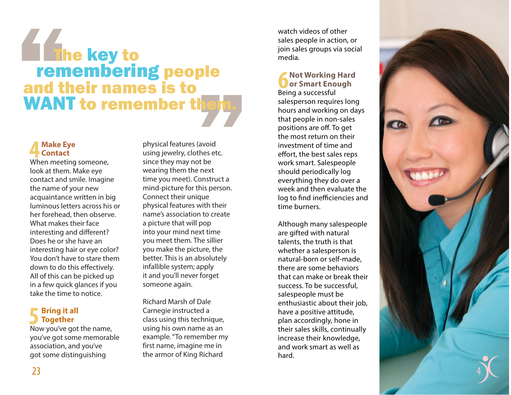## le<br>"<sup>eta</sup>" The key to<br>The key to<br>The membering people and their names is to WANT to remember them.

#### **Make Eye a ke E y e Contact 4**

When meeting someone, look at them. Make eye contact and smile. Imagine the name of your new acquaintance written in big luminous letters across his or her forehead, then observe. What makes their face interesting and different? Does he or she have an interesting hair or eye color? You don't have to stare them down to do this effectively. All of this can be picked up in a few quick glances if you take the time to notice.

### **Bring it all rin g Together <sup>o</sup> g ether5**

Now you've got the name, you've got some memorable association, and you've got some distinguishing

physical features (avoid using jewelry, clothes etc. since they may not be wearing them the next time you meet). Construct a mind-picture for this person. Connect their unique physical features with their name's association to create a picture that will pop into your mind next time you meet them. The sillier you make the picture, the better. This is an absolutely infallible system; apply it and you'll never forget someone again.

Richard Marsh of Dale Carnegie instructed a class using this technique, using his own name as an example. "To remember my first name, imagine me in the armor of King Richard

watch videos of other sales people in action, or join sales groups via social media.

### **Not Working Hard or Smart Enough 6**

Being a successful salesperson requires long hours and working on days that people in non-sales positions are off. To get the most return on their investment of time and effort, the best sales reps work smart. Salespeople should periodically log everything they do over a week and then evaluate the log to find inefficiencies and time burners.

Although many salespeople are gifted with natural talents, the truth is that whether a salesperson is natural-born or self-made, there are some behaviors that can make or break their success. To be successful, salespeople must be enthusiastic about their job, have a positive attitude, plan accordingly, hone in their sales skills, continually increase their knowledge, and work smart as well as hard.

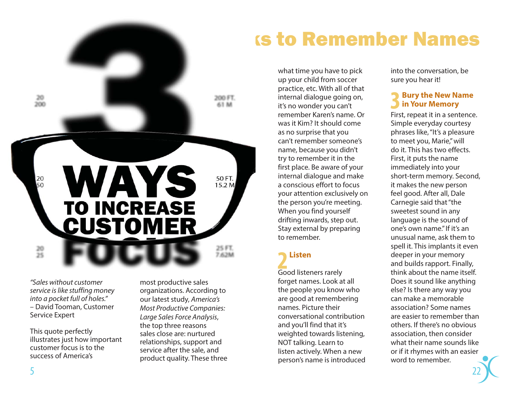

*"Sales without customer service is like stuffing money into a pocket full of holes."*  – David Tooman, Customer Service Expert

This quote perfectly illustrates just how important customer focus is to the success of America's

most productive sales organizations. According to our latest study, *America's Most Productive Companies: Large Sales Force Analysis*, the top three reasons sales close are: nurtured relationships, support and service after the sale, and product quality. These three

## ks to Remember Names

what time you have to pick up your child from soccer practice, etc. With all of that internal dialogue going on, it's no wonder you can't remember Karen's name. Or was it Kim? It should come as no surprise that you can't remember someone's name, because you didn't try to remember it in the first place. Be aware of your internal dialogue and make a conscious effort to focus your attention exclusively on the person you're meeting. When you find yourself drifting inwards, step out. Stay external by preparing to remember.

## **Listen2**

Good listeners rarely forget names. Look at all the people you know who are good at remembering names. Picture their conversational contribution and you'll find that it's weighted towards listening, NOT talking. Learn to listen actively. When a new person's name is introduced into the conversation, be sure you hear it!

#### **Bury the New Name ury th e New Name in Your Memory n Yo ur Memory 3**

First, repeat it in a sentence. Simple everyday courtesy phrases like, "It's a pleasure to meet you, Marie," will do it. This has two effects. First, it puts the name immediately into your short-term memory. Second, it makes the new person feel good. After all, Dale Carnegie said that "the sweetest sound in any language is the sound of one's own name." If it's an unusual name, ask them to spell it. This implants it even deeper in your memory and builds rapport. Finally, think about the name itself. Does it sound like anything else? Is there any way you can make a memorable association? Some names are easier to remember than others. If there's no obvious association, then consider what their name sounds like or if it rhymes with an easier word to remember.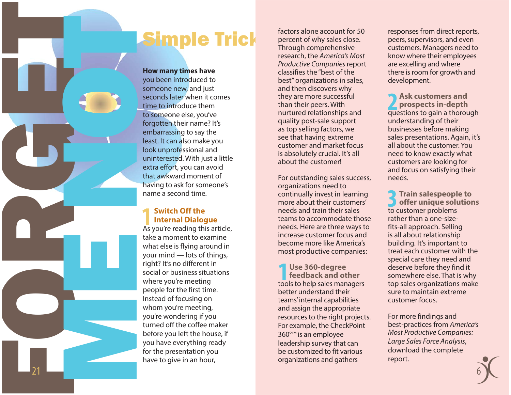## Simple Trick

**How many times have**  you been introduced to someone new, and just seconds later when it comes time to introduce them to someone else, you've forgotten their name? It's embarrassing to say the least. It can also make you look unprofessional and uninterested. With just a little extra effort, you can avoid that awkward moment of having to ask for someone's name a second time.

### **Switch Off the Internal Dialogue ntern al Dialo g u e 1**

FORGET CONTROL

21

ME NOT

As you're reading this article, take a moment to examine what else is flying around in your mind — lots of things, right? It's no different in social or business situations where you're meeting people for the first time. Instead of focusing on whom you're meeting, you're wondering if you turned off the coffee maker before you left the house, if you have everything ready for the presentation you have to give in an hour,

factors alone account for 50 percent of why sales close. Through comprehensive research, the *America's Most Productive Companies* report classifies the "best of the best" organizations in sales, and then discovers why they are more successful than their peers. With nurtured relationships and quality post-sale support as top selling factors, we see that having extreme customer and market focus is absolutely crucial. It's all about the customer!

For outstanding sales success, organizations need to continually invest in learning more about their customers' needs and train their sales teams to accommodate those needs. Here are three ways to increase customer focus and become more like America's most productive companies:

**1** Use 360-degree **feedback** and ot **feedback and other**tools to help sales managers better understand their teams' internal capabilities and assign the appropriate resources to the right projects. For example, the CheckPoint 360°™ is an employee leadership survey that can be customized to fit various organizations and gathers

responses from direct reports, peers, supervisors, and even customers. Managers need to know where their employees are excelling and where there is room for growth and development.

**Ask customers and prospects in-depth**  questions to gain a thorough understanding of their businesses before making sales presentations. Again, it's all about the customer. You need to know exactly what customers are looking for and focus on satisfying their needs.**2**

**Train salespeople to offer unique solutions** to customer problems rather than a one-sizefits-all approach. Selling is all about relationship building. It's important to treat each customer with the special care they need and deserve before they find it somewhere else. That is why top sales organizations make sure to maintain extreme customer focus.**3**

For more findings and best-practices from *America's Most Productive Companies: Large Sales Force Analysis*, download the complete report.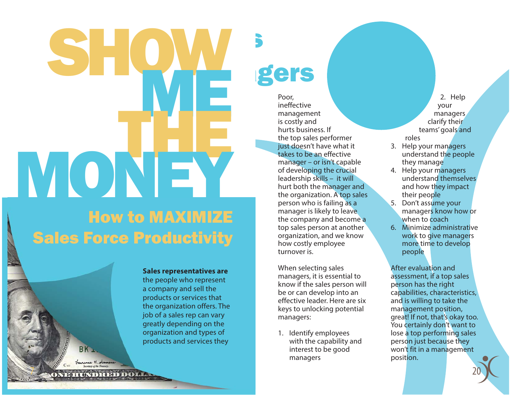# How to MAXIMIZESales Force Productivity SHOW THEMONEY

**Sales representatives are**  the people who represent a company and sell the products or services that the organization offers. The job of a sales rep can vary greatly depending on the organization and types of products and services they

# agers

s

Poor, ineffective management is costly and hurts business. If the top sales performer just doesn't have what it takes to be an effective manager – or isn't capable of developing the crucial leadership skills – it will hurt both the manager and the organization. A top sales person who is failing as a manager is likely to leave the company and become a top sales person at another organization, and we know how costly employee turnover is.

When selecting sales managers, it is essential to know if the sales person will be or can develop into an effective leader. Here are six keys to unlocking potential managers:

1. Identify employees with the capability and interest to be good managers

2. Help your managers clarify their teams' goals and roles

- 3. Help your managers understand the people they manage
- 4. Help your managers understand themselves and how they impact their people
- 5. Don't assume your managers know how or when to **coach**
- 6. Minimize administrative work to give managers more time to develop people

After evaluation and assessment, if a top sales person has the right capabilities, characteristics, and is willing to take the management position, great! If not, that's okay too. You certainly don't want to lose a top performing sales person just because they won't fit in a management position.

20

DOP HOOD REPORT OF THE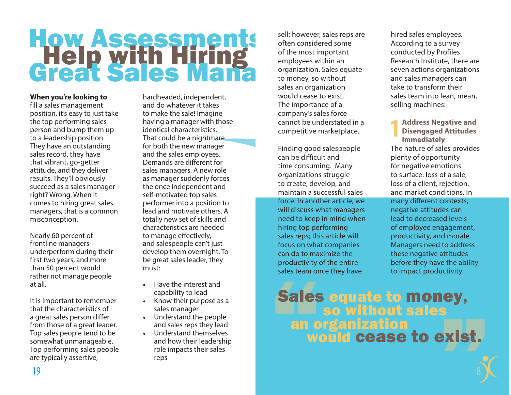# How Assessment s Help with Hiring Great Sales Man a

### **When you're looking to**

fill a sales management position, it's easy to just take the top performing sales person and bump them up to a leadership position. They have an outstanding sales record, they have that vibrant, go-getter attitude, and they deliver results. They'll obviously succeed as a sales manager right? Wrong. When it comes to hiring great sales managers, that is a common misconception.

Nearly 60 percent of frontline managers underperform during their first two years, and more than 50 percent would rather not manage people at all.

It is important to remember that the characteristics of a great sales person differ from those of a great leader. Top sales people tend to be somewhat unmanageable. Top performing sales people are typically assertive,

hardheaded, independent, and do whatever it takes to make the sale! Imagine having a manager with those identical characteristics. That could be a nightmare for both the new manager and the sales employees. Demands are different for sales managers. A new role as manager suddenly forces the once independent and self-motivated top sales performer into a position to lead and motivate others. A totally new set of skills and characteristics are needed to manage effectively, and salespeople can't just develop them overnight. To be great sales leader, they must:

- Have the interest and capability to lead
- Know their purpose as a sales manager
- Understand the people and sales reps they lead
- Understand themselves and how their leadership role impacts their sales reps

sell; however, sales reps are often considered some of the most important employees within an organization. Sales equate to money, so without sales an organization would cease to exist. The importance of a company's sales force cannot be understated in a competitive marketplace.

Finding good salespeople can be difficult and time consuming. Many organizations struggle to create, develop, and maintain a successful sales force. In another article*,* we will discuss what managers need to keep in mind when hiring top performing sales reps; this article will focus on what companies can do to maximize the productivity of the entire sales team once they have

hired sales employees. According to a survey conducted by Profiles Research Institute, there are seven actions organizations and sales managers can take to transform their sales team into lean, mean, selling machines:

#### **Address Negative and Disengaged Attitudes Immediately 1**

The nature of sales provides plenty of opportunity for negative emotions to surface: loss of a sale, loss of a client, rejection, and market conditions. In many different contexts, negative attitudes can lead to decreased levels of employee engagement, productivity, and morale. Managers need to address these negative attitudes before they have the ability to impact productivity.

8

### ey,<br>xist, Sales equate to money, an organization would cease to exist.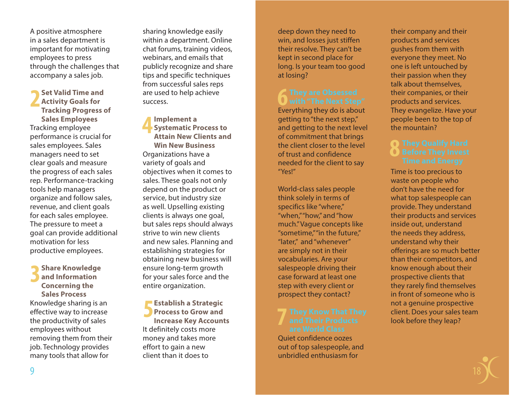A positive atmosphere in a sales department is important for motivating employees to press through the challenges that accompany a sales job.

**Set Valid Time and Activity Goals for Tracking Progress of Sales Employees** Tracking employee performance is crucial for sales employees. Sales managers need to set clear goals and measure the progress of each sales rep. Performance-tracking tools help managers organize and follow sales, revenue, and client goals for each sales employee. The pressure to meet a goal can provide additional motivation for less productive employees. **2**

**Share Knowledge and Information Concerning the Sales Process**Knowledge sharing is an effective way to increase the productivity of sales employees without removing them from their job. Technology provides many tools that allow for **3**

sharing knowledge easily within a department. Online chat forums, training videos, webinars, and emails that publicly recognize and share tips and specific techniques from successful sales reps are used to help achieve success.

**Implement a Systematic Process to Attain New Clients and Win New Business**Organizations have a variety of goals and objectives when it comes to sales. These goals not only depend on the product or service, but industry size as well. Upselling existing clients is always one goal, but sales reps should always strive to win new clients and new sales. Planning and establishing strategies for obtaining new business will ensure long-term growth for your sales force and the entire organization. **4**

**Establish a Strategic Process to Grow and Increase Key Accounts** It definitely costs more money and takes more effort to gain a new client than it does to **5**

deep down they need to win, and losses just stiffen their resolve. They can't be kept in second place for long. Is your team too good at losing?

### **6** They are Obsessed<br>1 with "The Next Step"

Everything they do is about getting to "the next step," and getting to the next level of commitment that brings the client closer to the level of trust and confidence needed for the client to say "Yes!"

World-class sales people think solely in terms of specifics like "where," "when," "how," and "how much." Vague concepts like "sometime," "in the future," "later," and "whenever" are simply not in their vocabularies. Are your salespeople driving their case forward at least one step with every client or prospect they contact?

# **7**

Quiet confidence oozes out of top salespeople, and unbridled enthusiasm for

their company and their products and services gushes from them with everyone they meet. No one is left untouched by their passion when they talk about themselves, their companies, or their products and services. They evangelize. Have your people been to the top of the mountain?

# **Before They Invest**<br> **Before They Invest**

Time is too precious to waste on people who don't have the need for what top salespeople can provide. They understand their products and services inside out, understand the needs they address, understand why their offerings are so much better than their competitors, and know enough about their prospective clients that they rarely find themselves in front of someone who is not a genuine prospective client. Does your sales team look before they leap?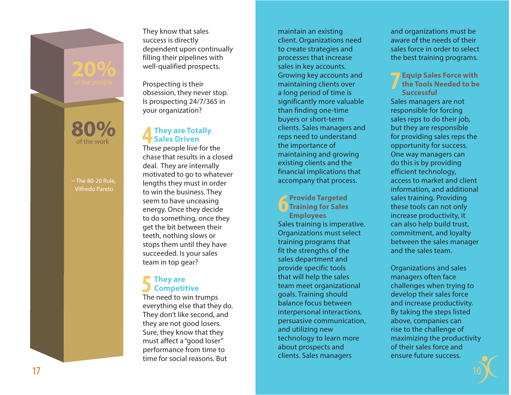They know that sales success is directly dependent upon continually filling their pipelines with well-qualified prospects.

Prospecting is their obsession, they never stop. Is prospecting 24/7/365 in your organization?

### **They are Totally h ey Sales Driven ale s Driven4**

– The 80-20 Rule, Vilfredo Pareto

of the work**80%**

> These people live for the chase that results in a closed deal. They are internally motivated to go to whatever lengths they must in order to win the business. They seem to have unceasing energy. Once they decide to do something, once they get the bit between their teeth, nothing slows or stops them until they have succeeded. Is your sales team in top gear?

### **They are h ey Competitive <sup>o</sup> mp etitive.5**

The need to win trumps everything else that they do. They don't like second, and they are not good losers. Sure, they know that they must affect a "good loser" performance from time to time for social reasons. But

maintain an existing client. Organizations need to create strategies and processes that increase sales in key accounts. Growing key accounts and maintaining clients over a long period of time is significantly more valuable than finding one-time buyers or short-term clients. Sales managers and reps need to understand the importance of maintaining and growing existing clients and the financial implications that accompany that process.

**Provide Targeted Training for Sales Employees** Sales training is imperative. Organizations must select training programs that fit the strengths of the sales department and provide specific tools that will help the sales team meet organizational goals. Training should balance focus between interpersonal interactions, persuasive communication, and utilizing new technology to learn more about prospects and clients. Sales managers

and organizations must be aware of the needs of their sales force in order to select the best training programs.

**Equip Sales Force with the Tools Needed to be Successful**Sales managers are not responsible for forcing sales reps to do their job, but they are responsible for providing sales reps the opportunity for success. One way managers can do this is by providing efficient technology, access to market and client information, and additional sales training. Providing these tools can not only increase productivity, it can also help build trust, commitment, and loyalty between the sales manager and the sales team.**7**

Organizations and sales managers often face challenges when trying to develop their sales force and increase productivity. By taking the steps listed above, companies can rise to the challenge of maximizing the productivity of their sales force and ensure future success.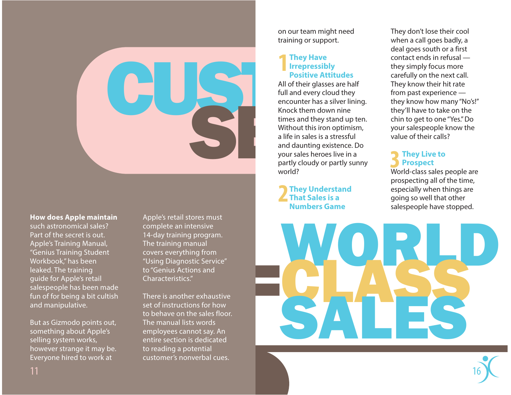

### **How does Apple maintain**

such astronomical sales? Part of the secret is out. Apple's Training Manual, "Genius Training Student Workbook," has been leaked. The training guide for Apple's retail salespeople has been made fun of for being a bit cultish and manipulative.

But as Gizmodo points out, something about Apple's selling system works, however strange it may be. Everyone hired to work at

Apple's retail stores must complete an intensive 14-day training program. The training manual covers everything from "Using Diagnostic Service" to "Genius Actions and Characteristics."

There is another exhaustive set of instructions for how to behave on the sales floor. The manual lists words employees cannot say. An entire section is dedicated to reading a potential customer's nonverbal cues.

on our team might need training or support.

### **They Have h e y H a v e Irrepressibly rre pre s sibly Positive Attitudes ositive Attitudes1**

All of their glasses are half full and every cloud they encounter has a silver lining. Knock them down nine times and they stand up ten. Without this iron optimism, a life in sales is a stressful and daunting existence. Do your sales heroes live in a partly cloudy or partly sunny world?

### **They Understand h ey U nderstand That Sales is a hat Sales Numbers Game umbers Game2**

They don't lose their cool when a call goes badly, a deal goes south or a first contact ends in refusal they simply focus more carefully on the next call. They know their hit rate from past experience they know how many "No's!" they'll have to take on the chin to get to one "Yes." Do your salespeople know the value of their calls?

### **They Live to h e y Liv e Prospect ro s p e ct 3**

World-class sales people are prospecting all of the time, especially when things are going so well that other salespeople have stopped.

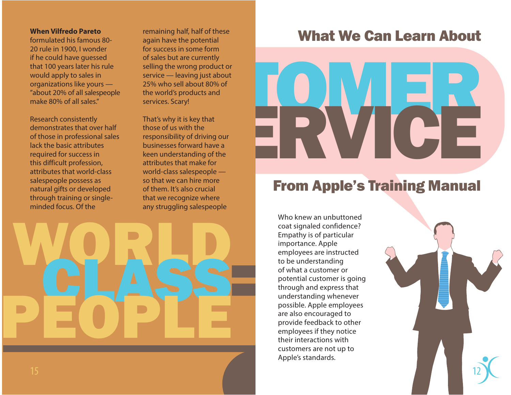### **When Vilfredo Pareto**

formulated his famous 80-20 rule in 1900, I wonder if he could have guessed that 100 years later his rule would apply to sales in organizations like yours — "about 20% of all salespeople make 80% of all sales."

Research consistently demonstrates that over half of those in professional sales lack the basic attributes required for success in this difficult profession, attributes that world-class salespeople possess as natural gifts or developed through training or singleminded focus. Of the

remaining half, half of these again have the potential for success in some form of sales but are currently selling the wrong product or service — leaving just about 25% who sell about 80% of the world's products and services. Scary!

That's why it is key that those of us with the responsibility of driving our businesses forward have a keen understanding of the attributes that make for world-class salespeople so that we can hire more of them. It's also crucial that we recognize where any struggling salespeople



### What We Can Learn About

# TOMER ERVICE

### From Apple's Training Manual

Who knew an unbuttoned coat signaled confidence? Empathy is of particular importance. Apple employees are instructed to be understanding of what a customer or potential customer is going through and express that understanding whenever possible. Apple employees are also encouraged to provide feedback to other employees if they notice their interactions with customers are not up to Apple's standards.